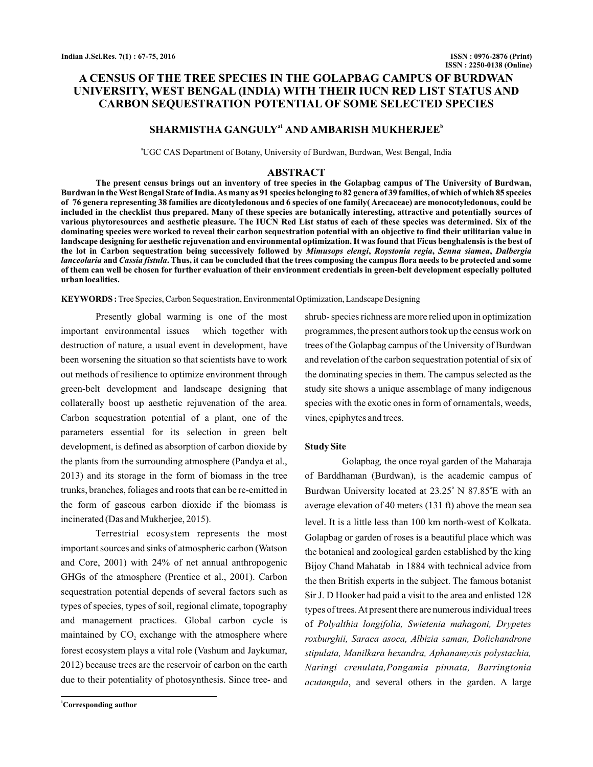# **A CENSUS OF THE TREE SPECIES IN THE GOLAPBAG CAMPUS OF BURDWAN UNIVERSITY, WEST BENGAL (INDIA) WITH THEIR IUCN RED LIST STATUS AND CARBON SEQUESTRATION POTENTIAL OF SOME SELECTED SPECIES**

## $SHARMISTHA GANGULY<sup>al</sup> AND AMBARISH MUKHERJEE<sup>b</sup>$

<sup>a</sup>UGC CAS Department of Botany, University of Burdwan, Burdwan, West Bengal, India

### **ABSTRACT**

**The present census brings out an inventory of tree species in the Golapbag campus of The University of Burdwan, Burdwan in the West Bengal State of India.As many as 91 species belonging to 82 genera of 39 families, of which of which 85 species of 76 genera representing 38 families are dicotyledonous and 6 species of one family( Arecaceae) are monocotyledonous, could be included in the checklist thus prepared. Many of these species are botanically interesting, attractive and potentially sources of various phytoresources and aesthetic pleasure. The IUCN Red List status of each of these species was determined. Six of the dominating species were worked to reveal their carbon sequestration potential with an objective to find their utilitarian value in landscape designing for aesthetic rejuvenation and environmental optimization. It was found that Ficus benghalensis is the best of** the lot in Carbon sequestration being successively followed by *Mimusops elengi, Roystonia regia, Senna siamea, Dalbergia lanceolaria* and *Cassia fistula*. Thus, it can be concluded that the trees composing the campus flora needs to be protected and some **of them can well be chosen for further evaluation of their environment credentials in green-belt development especially polluted urban localities.**

**KEYWORDS :** Tree Species, Carbon Sequestration, Environmental Optimization, Landscape Designing

Presently global warming is one of the most important environmental issues which together with destruction of nature, a usual event in development, have been worsening the situation so that scientists have to work out methods of resilience to optimize environment through green-belt development and landscape designing that collaterally boost up aesthetic rejuvenation of the area. Carbon sequestration potential of a plant, one of the parameters essential for its selection in green belt development, is defined as absorption of carbon dioxide by the plants from the surrounding atmosphere (Pandya et al., 2013) and its storage in the form of biomass in the tree trunks, branches, foliages and roots that can be re-emitted in the form of gaseous carbon dioxide if the biomass is incinerated (Das and Mukherjee, 2015).

Terrestrial ecosystem represents the most important sources and sinks of atmospheric carbon (Watson and Core, 2001) with 24% of net annual anthropogenic GHGs of the atmosphere (Prentice et al., 2001). Carbon sequestration potential depends of several factors such as types of species, types of soil, regional climate, topography and management practices. Global carbon cycle is maintained by  $CO<sub>2</sub>$  exchange with the atmosphere where forest ecosystem plays a vital role (Vashum and Jaykumar, 2012) because trees are the reservoir of carbon on the earth due to their potentiality of photosynthesis. Since tree- and

**<sup>1</sup>Corresponding author**

shrub- species richness are more relied upon in optimization programmes, the present authors took up the census work on trees of the Golapbag campus of the University of Burdwan and revelation of the carbon sequestration potential of six of the dominating species in them. The campus selected as the study site shows a unique assemblage of many indigenous species with the exotic ones in form of ornamentals, weeds, vines, epiphytes and trees.

#### **Study Site**

Golapbag, the once royal garden of the Maharaja of Barddhaman (Burdwan), is the academic campus of Burdwan University located at 23.25° N 87.85°E with an average elevation of 40 meters (131 ft) above the mean sea level. It is a little less than 100 km north-west of Kolkata. Golapbag or garden of roses is a beautiful place which was the botanical and zoological garden established by the king Bijoy Chand Mahatab in 1884 with technical advice from the then British experts in the subject. The famous botanist Sir J. D Hooker had paid a visit to the area and enlisted 128 types of trees.At present there are numerous individual trees of *Polyalthia longifolia, Swietenia mahagoni, Drypetes* acutangula, and several others in the garden. A large *roxburghii, Saraca asoca, Albizia saman, Dolichandrone stipulata, Manilkara hexandra, Aphanamyxis polystachia, Naringi crenulata,Pongamia pinnata, Barringtonia*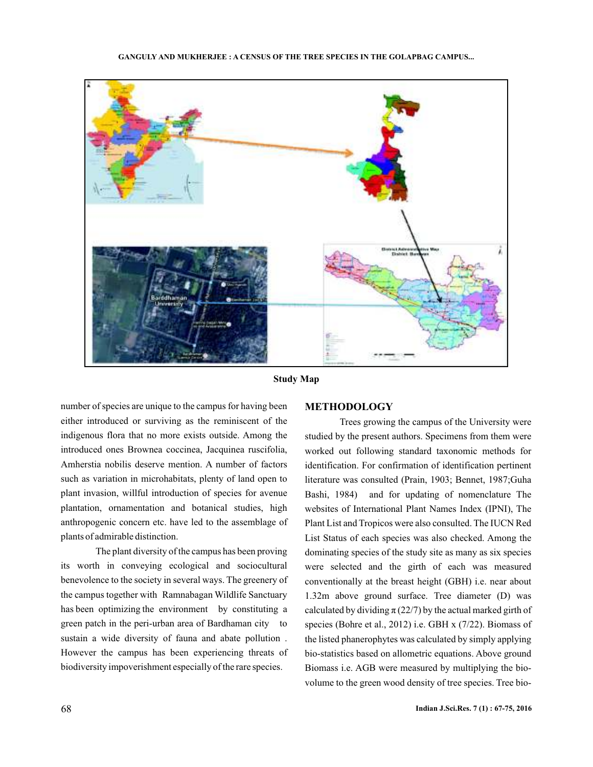

**Study Map**

number of species are unique to the campus for having been either introduced or surviving as the reminiscent of the indigenous flora that no more exists outside. Among the introduced ones Brownea coccinea, Jacquinea ruscifolia, Amherstia nobilis deserve mention. A number of factors such as variation in microhabitats, plenty of land open to plant invasion, willful introduction of species for avenue plantation, ornamentation and botanical studies, high anthropogenic concern etc. have led to the assemblage of plants of admirable distinction.

The plant diversity of the campus has been proving its worth in conveying ecological and sociocultural benevolence to the society in several ways. The greenery of the campus together with Ramnabagan Wildlife Sanctuary has been optimizing the environment by constituting a green patch in the peri-urban area of Bardhaman city to sustain a wide diversity of fauna and abate pollution . However the campus has been experiencing threats of biodiversity impoverishment especially of the rare species.

### **METHODOLOGY**

Trees growing the campus of the University were studied by the present authors. Specimens from them were worked out following standard taxonomic methods for identification. For confirmation of identification pertinent literature was consulted (Prain, 1903; Bennet, 1987;Guha Bashi, 1984) and for updating of nomenclature The websites of International Plant Names Index (IPNI), The Plant List and Tropicos were also consulted. The IUCN Red List Status of each species was also checked. Among the dominating species of the study site as many as six species were selected and the girth of each was measured conventionally at the breast height (GBH) i.e. near about 1.32m above ground surface. Tree diameter (D) was calculated by dividing  $\pi$  (22/7) by the actual marked girth of species (Bohre et al., 2012) i.e. GBH x (7/22). Biomass of the listed phanerophytes was calculated by simply applying bio-statistics based on allometric equations. Above ground Biomass i.e. AGB were measured by multiplying the biovolume to the green wood density of tree species. Tree bio-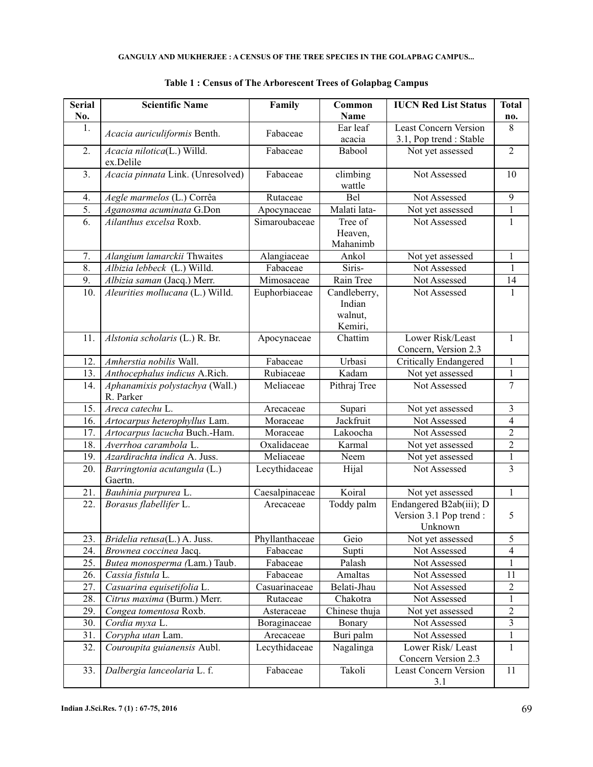| <b>Serial</b> | <b>Scientific Name</b>                  | Family<br>Common    |                                              | <b>IUCN Red List Status</b>                                  | <b>Total</b>            |
|---------------|-----------------------------------------|---------------------|----------------------------------------------|--------------------------------------------------------------|-------------------------|
| No.           |                                         |                     | <b>Name</b>                                  |                                                              | no.                     |
| 1.            | Acacia auriculiformis Benth.            | Fabaceae            | Ear leaf                                     | <b>Least Concern Version</b>                                 | 8                       |
|               |                                         |                     | acacia                                       | 3.1, Pop trend : Stable                                      |                         |
| 2.            | Acacia nilotica(L.) Willd.<br>ex.Delile | Fabaceae            | Babool                                       | Not yet assessed                                             | $\overline{2}$          |
| 3.            | Acacia pinnata Link. (Unresolved)       | Fabaceae            | climbing<br>wattle                           | Not Assessed                                                 | 10                      |
| 4.            | Aegle marmelos (L.) Corrêa              | Rutaceae            | Bel                                          | Not Assessed                                                 | 9                       |
| 5.            | Aganosma acuminata G.Don                | Apocynaceae         | Malati lata-                                 | Not yet assessed                                             | $\mathbf{1}$            |
| 6.            | Ailanthus excelsa Roxb.                 | Simaroubaceae       | Tree of<br>Heaven,<br>Mahanimb               | Not Assessed                                                 | $\mathbf{1}$            |
| 7.            | Alangium lamarckii Thwaites             | Alangiaceae         | Ankol                                        | Not yet assessed                                             | $\mathbf{1}$            |
| 8.            | Albizia lebbeck (L.) Willd.             | Fabaceae            | Siris-                                       | Not Assessed                                                 | 1                       |
| 9.            | Albizia saman (Jacq.) Merr.             | Mimosaceae          | Rain Tree                                    | Not Assessed                                                 | 14                      |
| 10.           | Aleurities mollucana (L.) Willd.        | Euphorbiaceae       | Candleberry,<br>Indian<br>walnut,<br>Kemiri, | Not Assessed                                                 | 1                       |
| 11.           | Alstonia scholaris (L.) R. Br.          | Apocynaceae         | Chattim                                      | Lower Risk/Least                                             | $\mathbf{1}$            |
| 12.           | Amherstia nobilis Wall.                 | Fabaceae            | Urbasi                                       | Concern, Version 2.3<br>Critically Endangered                | $\mathbf{1}$            |
| 13.           | Anthocephalus indicus A.Rich.           | Rubiaceae           | Kadam                                        | Not yet assessed                                             | $\mathbf{1}$            |
| 14.           | Aphanamixis polystachya (Wall.)         | Meliaceae           | Pithraj Tree                                 | Not Assessed                                                 | $\overline{7}$          |
|               | R. Parker                               |                     |                                              |                                                              |                         |
| 15.           | Areca catechu L.                        | Supari<br>Arecaceae |                                              | Not yet assessed                                             | 3                       |
| 16.           | Artocarpus heterophyllus Lam.           | Moraceae            | Jackfruit                                    | Not Assessed                                                 | $\overline{\mathbf{4}}$ |
| 17.           | Artocarpus lacucha Buch.-Ham.           | Moraceae            | Lakoocha                                     | Not Assessed                                                 | $\overline{2}$          |
| 18.           | Averrhoa carambola L.                   | Oxalidaceae         | Karmal                                       | Not yet assessed                                             | $\overline{2}$          |
| 19.           | Azardirachta indica A. Juss.            | Meliaceae           | Neem                                         | Not yet assessed                                             | $\mathbf{1}$            |
| 20.           | Barringtonia acutangula (L.)<br>Gaertn. | Lecythidaceae       | Hijal                                        | Not Assessed                                                 | 3                       |
| 21.           | Bauhinia purpurea L.                    | Caesalpinaceae      | Koiral                                       | Not yet assessed                                             | $\mathbf{1}$            |
| 22.           | Borasus flabellifer L.                  | Arecaceae           | Toddy palm                                   | Endangered B2ab(iii); D<br>Version 3.1 Pop trend:<br>Unknown | 5                       |
| 23.           | Bridelia retusa(L.) A. Juss.            | Phyllanthaceae      | Geio                                         | Not yet assessed                                             | 5                       |
| 24.           | Brownea coccinea Jacq.                  | Fabaceae            | Supti                                        | Not Assessed                                                 | $\overline{\mathbf{4}}$ |
| 25.           | Butea monosperma (Lam.) Taub.           | Fabaceae<br>Palash  |                                              | Not Assessed                                                 | $\mathbf{1}$            |
| 26.           | Cassia fistula L.                       | Fabaceae            | Amaltas                                      | Not Assessed                                                 | 11                      |
| 27.           | Casuarina equisetifolia L.              | Casuarinaceae       | Belati-Jhau                                  | Not Assessed                                                 | $\overline{c}$          |
| 28.           | Citrus maxima (Burm.) Merr.             | Rutaceae            | Chakotra                                     | Not Assessed                                                 | $\mathbf{1}$            |
| 29.           | Congea tomentosa Roxb.                  | Asteraceae          | Chinese thuja                                | Not yet assessed                                             | $\overline{c}$          |
| 30.           | Cordia myxa L.                          | Boraginaceae        | Bonary                                       | Not Assessed                                                 | 3                       |
| 31.           | Corypha utan Lam.                       | Arecaceae           | Buri palm                                    | Not Assessed                                                 | 1                       |
| 32.           | Couroupita guianensis Aubl.             | Lecythidaceae       | Nagalinga                                    | Lower Risk/Least<br>Concern Version 2.3                      | 1                       |
| 33.           | Dalbergia lanceolaria L. f.             | Fabaceae            | Takoli                                       | <b>Least Concern Version</b><br>3.1                          | 11                      |

## **Table 1 : Census of The Arborescent Trees of Golapbag Campus**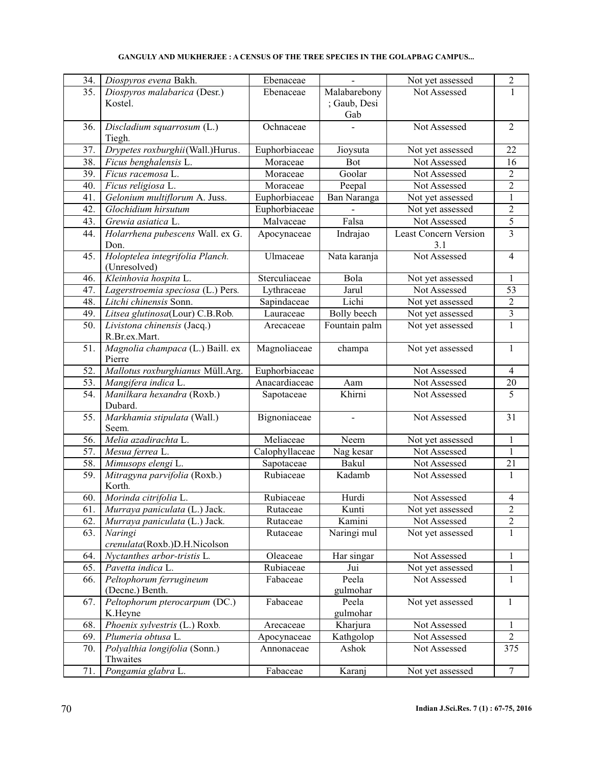| 34. | Diospyros evena Bakh.                     | Ebenaceae                    |                        | Not yet assessed                    | $\overline{c}$           |
|-----|-------------------------------------------|------------------------------|------------------------|-------------------------------------|--------------------------|
| 35. | Diospyros malabarica (Desr.)              | Ebenaceae                    | Malabarebony           | Not Assessed                        | $\mathbf{1}$             |
|     | Kostel.                                   | ; Gaub, Desi                 |                        |                                     |                          |
|     |                                           | Gab                          |                        |                                     |                          |
| 36. | Discladium squarrosum (L.)                | Ochnaceae                    |                        | Not Assessed                        | $\overline{2}$           |
|     | Tiegh.                                    |                              |                        |                                     |                          |
| 37. | Drypetes roxburghii(Wall.)Hurus.          | Euphorbiaceae                |                        | Not yet assessed                    | 22                       |
| 38. |                                           | Moraceae                     | Jioysuta<br><b>Bot</b> | Not Assessed                        | 16                       |
|     | Ficus benghalensis L.                     |                              |                        |                                     |                          |
| 39. | Ficus racemosa L.                         | Moraceae                     | Goolar                 | Not Assessed                        | $\overline{2}$           |
| 40. | Ficus religiosa L.                        | Moraceae                     | Peepal                 | Not Assessed                        | $\overline{c}$           |
| 41. | Gelonium multiflorum A. Juss.             | Euphorbiaceae<br>Ban Naranga |                        | Not yet assessed                    | $\mathbf{1}$             |
| 42. | Glochidium hirsutum                       | Euphorbiaceae                |                        | Not yet assessed                    | $\overline{2}$           |
| 43. | Grewia asiatica L.                        | Malvaceae<br>Falsa           |                        | Not Assessed                        | 5                        |
| 44. | Holarrhena pubescens Wall. ex G.<br>Don.  | Apocynaceae                  | Indrajao               | <b>Least Concern Version</b><br>3.1 | $\overline{3}$           |
| 45. | Holoptelea integrifolia Planch.           | Ulmaceae                     | Nata karanja           | Not Assessed                        | $\overline{\mathcal{L}}$ |
|     | (Unresolved)                              |                              |                        |                                     |                          |
| 46. | Kleinhovia hospita L.                     | Sterculiaceae                | Bola                   | Not yet assessed                    | 1                        |
| 47. | Lagerstroemia speciosa (L.) Pers.         | Lythraceae                   | Jarul                  | Not Assessed                        | 53                       |
| 48. | Litchi chinensis Sonn.                    | Sapindaceae                  | Lichi                  | Not yet assessed                    | $\overline{c}$           |
| 49. | Litsea glutinosa(Lour) C.B.Rob.           | Lauraceae                    | Bolly beech            | Not yet assessed                    | 3                        |
| 50. | Livistona chinensis (Jacq.)               | Arecaceae                    | Fountain palm          | Not yet assessed                    | $\mathbf{1}$             |
|     | R.Br.ex.Mart.                             |                              |                        |                                     |                          |
| 51. | Magnolia champaca (L.) Baill. ex          | Magnoliaceae                 | champa                 | Not yet assessed                    | $\mathbf{1}$             |
|     | Pierre                                    |                              |                        |                                     |                          |
| 52. | Mallotus roxburghianus Müll.Arg.          | Euphorbiaceae                |                        | Not Assessed                        | $\overline{\mathcal{A}}$ |
| 53. | Mangifera indica L.                       | Anacardiaceae                | Aam                    | Not Assessed                        | 20                       |
| 54. | Manilkara hexandra (Roxb.)<br>Dubard.     | Sapotaceae                   | Khirni                 | Not Assessed                        | 5                        |
| 55. | Markhamia stipulata (Wall.)<br>Seem.      | Bignoniaceae                 | ÷,                     | Not Assessed                        | 31                       |
| 56. | Melia azadirachta L.                      | Meliaceae                    | Neem                   | Not yet assessed                    | 1                        |
| 57. | Mesua ferrea L.                           | Calophyllaceae               | Nag kesar              | Not Assessed                        | $\mathbf{1}$             |
| 58. | Mimusops elengi L.                        | Sapotaceae                   | Bakul                  | Not Assessed                        | 21                       |
| 59. | Mitragyna parvifolia (Roxb.)              | Rubiaceae                    | Kadamb                 | Not Assessed                        | $\mathbf{1}$             |
|     | Korth.                                    |                              |                        |                                     |                          |
| 60. | Morinda citrifolia L.                     | Rubiaceae                    | Hurdi                  | Not Assessed                        | $\overline{\mathbf{4}}$  |
| 61. | Murraya paniculata (L.) Jack.             | Rutaceae                     | Kunti                  | Not yet assessed                    | $\overline{c}$           |
| 62. | Murraya paniculata (L.) Jack.             | Rutaceae                     | Kamini                 | Not Assessed                        | $\overline{c}$           |
| 63. | Naringi                                   | Rutaceae                     | Naringi mul            | Not yet assessed                    | $\mathbf{1}$             |
|     | crenulata(Roxb.)D.H.Nicolson              |                              |                        |                                     |                          |
| 64. | Nyctanthes arbor-tristis L.               | Oleaceae                     | Har singar             | Not Assessed                        | $\mathbf{1}$             |
| 65. | Pavetta indica L.                         | Rubiaceae                    | Jui                    | Not yet assessed                    | $\mathbf{1}$             |
| 66. | Peltophorum ferrugineum                   | Fabaceae                     | Peela                  | Not Assessed                        | $\mathbf{1}$             |
|     | (Decne.) Benth.                           |                              | gulmohar               |                                     |                          |
| 67. | Peltophorum pterocarpum (DC.)             | Fabaceae                     | Peela                  | Not yet assessed                    | $\mathbf{1}$             |
|     | K.Heyne                                   |                              | gulmohar               |                                     |                          |
| 68. | Phoenix sylvestris (L.) Roxb.             | Arecaceae                    | Kharjura               | Not Assessed                        | 1                        |
| 69. | Plumeria obtusa L.                        | Apocynaceae                  | Kathgolop              | Not Assessed                        | 2                        |
| 70. | Polyalthia longifolia (Sonn.)<br>Thwaites | Annonaceae                   | Ashok                  | Not Assessed                        | 375                      |
|     |                                           |                              |                        |                                     |                          |
| 71. | Pongamia glabra L.                        | Fabaceae                     | Karanj                 | Not yet assessed                    | $\tau$                   |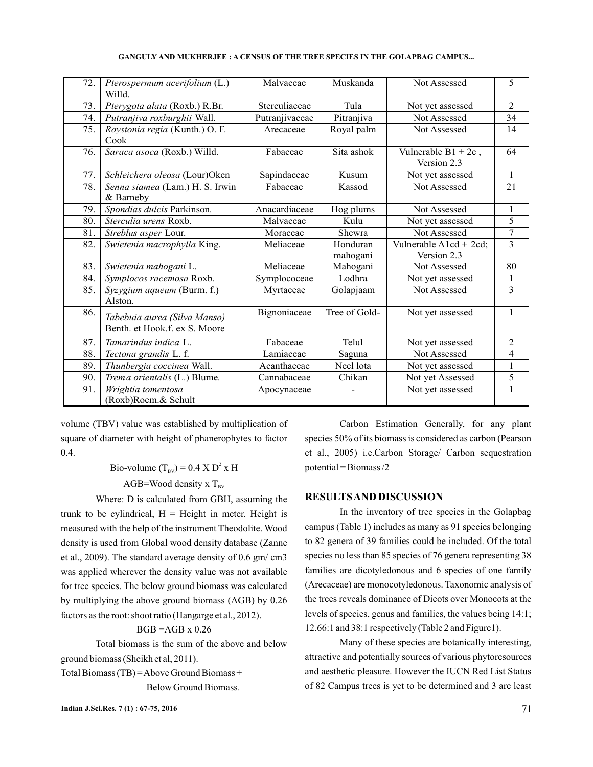| 72. | Pterospermum acerifolium (L.)<br>Willd.                       | Malvaceae                  | Muskanda             | Not Assessed                             | 5              |
|-----|---------------------------------------------------------------|----------------------------|----------------------|------------------------------------------|----------------|
| 73. | Pterygota alata (Roxb.) R.Br.                                 | Sterculiaceae              | Tula                 | Not yet assessed                         | 2              |
| 74. | Putranjiva roxburghii Wall.                                   | Putranjivaceae             | Pitranjiva           | Not Assessed                             | 34             |
| 75. | Roystonia regia (Kunth.) O. F.<br>Cook                        | Arecaceae                  | Royal palm           | Not Assessed                             | 14             |
| 76. | Saraca asoca (Roxb.) Willd.                                   | Sita ashok<br>Fabaceae     |                      | Vulnerable $B1 + 2c$ ,<br>Version 2.3    | 64             |
| 77. | Schleichera oleosa (Lour)Oken                                 | Sapindaceae                | Kusum                | Not yet assessed                         | $\mathbf{1}$   |
| 78. | Senna siamea (Lam.) H. S. Irwin<br>& Barneby                  | Fabaceae                   | Kassod               | Not Assessed                             | 21             |
| 79. | Spondias dulcis Parkinson.                                    | Anacardiaceae<br>Hog plums |                      | Not Assessed                             | $\mathbf{1}$   |
| 80. | Sterculia urens Roxb.                                         | Malvaceae                  | Kulu                 | Not yet assessed                         | 5              |
| 81. | Streblus asper Lour.                                          | Moraceae                   | Shewra               | Not Assessed                             | $\tau$         |
| 82. | Swietenia macrophylla King.                                   | Meliaceae                  | Honduran<br>mahogani | Vulnerable $A1cd + 2cd$ ;<br>Version 2.3 | $\overline{3}$ |
| 83. | Swietenia mahogani L.                                         | Meliaceae                  | Mahogani             | Not Assessed                             | 80             |
| 84. | Symplocos racemosa Roxb.                                      | Symplococeae               | Lodhra               | Not yet assessed                         | $\mathbf{1}$   |
| 85. | Syzygium aqueum (Burm. f.)<br>Alston.                         | Myrtaceae                  | Golapjaam            | Not Assessed                             | 3              |
| 86. | Tabebuia aurea (Silva Manso)<br>Benth. et Hook.f. ex S. Moore | Bignoniaceae               | Tree of Gold-        | Not yet assessed                         | $\mathbf{1}$   |
| 87. | Tamarindus indica L.                                          | Fabaceae                   | Telul                | Not yet assessed                         | 2              |
| 88. | Tectona grandis L. f.                                         | Lamiaceae                  | Saguna               | Not Assessed                             | $\overline{4}$ |
| 89. | Thunbergia coccinea Wall.                                     | Acanthaceae                | Neel lota            | Not yet assessed                         | $\mathbf{1}$   |
| 90. | Trema orientalis (L.) Blume.                                  | Cannabaceae                | Chikan               | Not yet Assessed                         | 5              |
| 91. | Wrightia tomentosa<br>(Roxb)Roem.& Schult                     | Apocynaceae                |                      | Not yet assessed                         | 1              |

volume (TBV) value was established by multiplication of square of diameter with height of phanerophytes to factor 0.4.

> Bio-volume  $(T_{BV}) = 0.4 \times D^2 \times H$ AGB=Wood density x  $T_{\text{BV}}$

Where: D is calculated from GBH, assuming the trunk to be cylindrical,  $H =$  Height in meter. Height is measured with the help of the instrument Theodolite. Wood density is used from Global wood density database (Zanne et al., 2009). The standard average density of 0.6 gm/ cm3 was applied wherever the density value was not available for tree species. The below ground biomass was calculated by multiplying the above ground biomass (AGB) by 0.26 factors as the root: shoot ratio (Hangarge et al., 2012).

## $BGB = AGB \times 0.26$

Total biomass is the sum of the above and below ground biomass (Sheikh et al, 2011).

Total Biomass (TB) =Above Ground Biomass +

Below Ground Biomass.

Carbon Estimation Generally, for any plant species 50% of its biomass is considered as carbon (Pearson et al., 2005) i.e.Carbon Storage/ Carbon sequestration potential = Biomass /2

### **RESULTSAND DISCUSSION**

In the inventory of tree species in the Golapbag campus (Table 1) includes as many as 91 species belonging to 82 genera of 39 families could be included. Of the total species no less than 85 species of 76 genera representing 38 families are dicotyledonous and 6 species of one family (Arecaceae) are monocotyledonous. Taxonomic analysis of the trees reveals dominance of Dicots over Monocots at the levels of species, genus and families, the values being 14:1; 12.66:1 and 38:1 respectively (Table 2 and Figure1).

Many of these species are botanically interesting, attractive and potentially sources of various phytoresources and aesthetic pleasure. However the IUCN Red List Status of 82 Campus trees is yet to be determined and 3 are least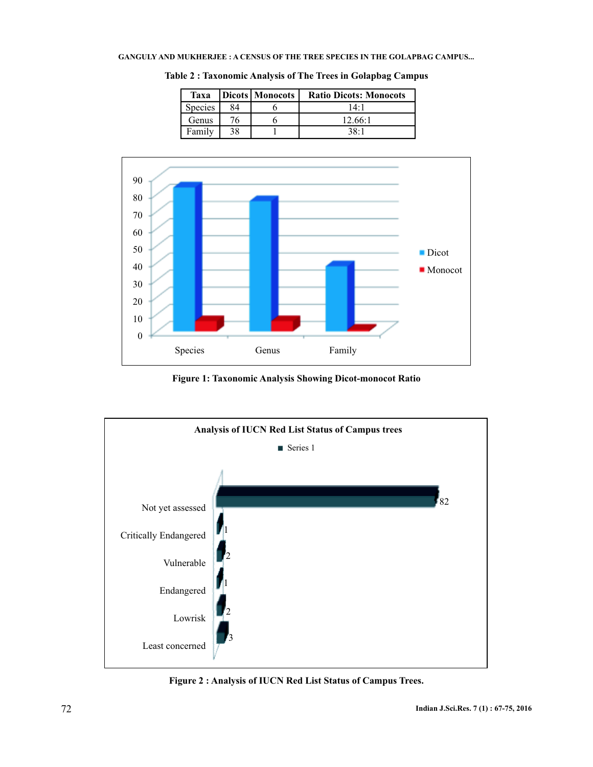| Taxa    |    | Dicots Monocots | <b>Ratio Dicots: Monocots</b> |
|---------|----|-----------------|-------------------------------|
| Species | 84 |                 | 14:1                          |
| Genus   | 76 |                 | 12.66:1                       |
| Family  | 38 |                 | 38.1                          |

**Table 2 : Taxonomic Analysis of The Trees in Golapbag Campus**



**Figure 1: Taxonomic Analysis Showing Dicot-monocot Ratio**



**Figure 2 : Analysis of IUCN Red List Status of Campus Trees.**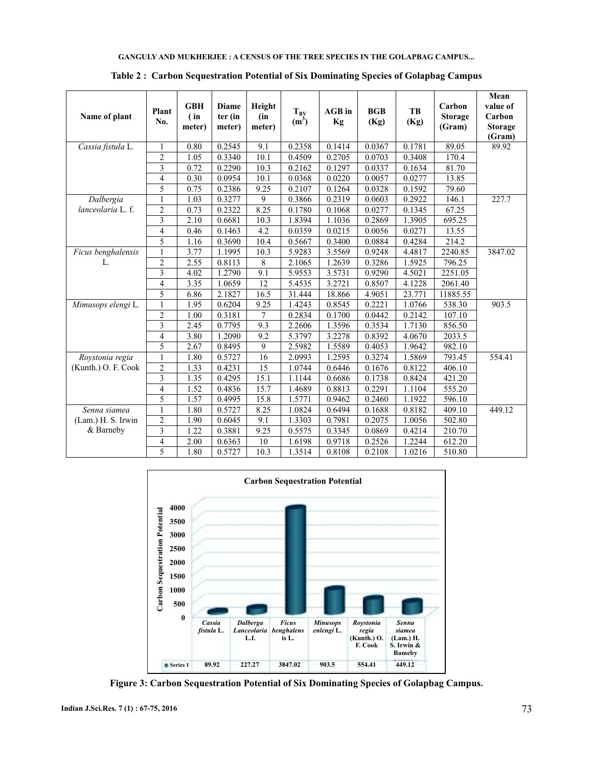| Name of plant           | Plant<br>No.   | <b>GBH</b><br>(in)<br>meter) | <b>Diame</b><br>ter (in<br>meter) | Height<br>(in<br>meter) | $T_{BY}$<br>$(m^3)$ | <b>AGB</b> in<br>Kg | <b>BGB</b><br>(Kg) | TB<br>(Kg) | Carbon<br><b>Storage</b><br>(Gram) | Mean<br>value of<br>Carbon<br><b>Storage</b><br>(Gram) |
|-------------------------|----------------|------------------------------|-----------------------------------|-------------------------|---------------------|---------------------|--------------------|------------|------------------------------------|--------------------------------------------------------|
| Cassia fistula L.       | $\mathbf{1}$   | 0.80                         | 0.2545                            | 9.1                     | 0.2358              | 0.1414              | 0.0367             | 0.1781     | 89.05                              | 89.92                                                  |
|                         | $\overline{2}$ | 1.05                         | 0.3340                            | 10.1                    | 0.4509              | 0.2705              | 0.0703             | 0.3408     | 170.4                              |                                                        |
|                         | 3              | 0.72                         | 0.2290                            | 10.3                    | 0.2162              | 0.1297              | 0.0337             | 0.1634     | 81.70                              |                                                        |
|                         | 4              | 0.30                         | 0.0954                            | 10.1                    | 0.0368              | 0.0220              | 0.0057             | 0.0277     | 13.85                              |                                                        |
|                         | 5              | 0.75                         | 0.2386                            | 9.25                    | 0.2107              | 0.1264              | 0.0328             | 0.1592     | 79.60                              |                                                        |
| $\overline{D}$ albergia | 1              | 1.03                         | 0.3277                            | 9                       | 0.3866              | 0.2319              | 0.0603             | 0.2922     | 146.1                              | 227.7                                                  |
| lanceolaria L.f.        | $\overline{2}$ | 0.73                         | 0.2322                            | 8.25                    | 0.1780              | 0.1068              | 0.0277             | 0.1345     | 67.25                              |                                                        |
|                         | 3              | 2.10                         | 0.6681                            | 10.3                    | 1.8394              | 1.1036              | 0.2869             | 1.3905     | 695.25                             |                                                        |
|                         | 4              | 0.46                         | 0.1463                            | 4.2                     | 0.0359              | 0.0215              | 0.0056             | 0.0271     | 13.55                              |                                                        |
|                         | $\overline{5}$ | 1.16                         | 0.3690                            | 10.4                    | 0.5667              | 0.3400              | 0.0884             | 0.4284     | 214.2                              |                                                        |
| Ficus benghalensis      | $\mathbf{1}$   | 3.77                         | 1.1995                            | 10.3                    | 5.9283              | 3.5569              | 0.9248             | 4.4817     | 2240.85                            | 3847.02                                                |
| L.                      | $\overline{2}$ | 2.55                         | 0.8113                            | 8                       | 2.1065              | 1.2639              | 0.3286             | 1.5925     | 796.25                             |                                                        |
|                         | 3              | 4.02                         | 1.2790                            | 9.1                     | 5.9553              | 3.5731              | 0.9290             | 4.5021     | 2251.05                            |                                                        |
|                         | $\overline{4}$ | 3.35                         | 1.0659                            | 12                      | 5.4535              | 3.2721              | 0.8507             | 4.1228     | 2061.40                            |                                                        |
|                         | 5              | 6.86                         | 2.1827                            | 16.5                    | 31.444              | 18.866              | 4.9051             | 23.771     | 11885.55                           |                                                        |
| Mimusops elengi L.      | 1              | 1.95                         | 0.6204                            | 9.25                    | 1.4243              | 0.8545              | 0.2221             | 1.0766     | 538.30                             | 903.5                                                  |
|                         | $\overline{2}$ | 1.00                         | 0.3181                            | 7                       | 0.2834              | 0.1700              | 0.0442             | 0.2142     | 107.10                             |                                                        |
|                         | $\overline{3}$ | 2.45                         | 0.7795                            | 9.3                     | 2.2606              | 1.3596              | 0.3534             | 1.7130     | 856.50                             |                                                        |
|                         | $\overline{4}$ | 3.80                         | 1.2090                            | 9.2                     | 5.3797              | 3.2278              | 0.8392             | 4.0670     | 2033.5                             |                                                        |
|                         | 5              | 2.67                         | 0.8495                            | 9                       | 2.5982              | 1.5589              | 0.4053             | 1.9642     | 982.10                             |                                                        |
| Roystonia regia         | $\mathbf{1}$   | 1.80                         | 0.5727                            | 16                      | 2.0993              | 1.2595              | 0.3274             | 1.5869     | 793.45                             | 554.41                                                 |
| (Kunth.) O. F. Cook     | $\overline{2}$ | 1.33                         | 0.4231                            | 15                      | 1.0744              | 0.6446              | 0.1676             | 0.8122     | 406.10                             |                                                        |
|                         | 3              | 1.35                         | 0.4295                            | 15.1                    | 1.1144              | 0.6686              | 0.1738             | 0.8424     | 421.20                             |                                                        |
|                         | $\overline{4}$ | 1.52                         | 0.4836                            | 15.7                    | 1.4689              | 0.8813              | 0.2291             | 1.1104     | 555.20                             |                                                        |
|                         | 5              | 1.57                         | 0.4995                            | 15.8                    | 1.5771              | 0.9462              | 0.2460             | 1.1922     | 596.10                             |                                                        |
| Senna siamea            | $\mathbf{1}$   | 1.80                         | 0.5727                            | 8.25                    | 1.0824              | 0.6494              | 0.1688             | 0.8182     | 409.10                             | 449.12                                                 |
| (Lam.) H. S. Irwin      | $\overline{2}$ | 1.90                         | 0.6045                            | 9.1                     | 1.3303              | 0.7981              | 0.2075             | 1.0056     | 502.80                             |                                                        |
| & Barneby               | 3              | 1.22                         | 0.3881                            | 9.25                    | 0.5575              | 0.3345              | 0.0869             | 0.4214     | 210.70                             |                                                        |
|                         | $\overline{4}$ | 2.00                         | 0.6363                            | 10                      | 1.6198              | 0.9718              | 0.2526             | 1.2244     | 612.20                             |                                                        |
|                         | 5              | 1.80                         | 0.5727                            | 10.3                    | 1.3514              | 0.8108              | 0.2108             | 1.0216     | 510.80                             |                                                        |

**Table 2 : Carbon Sequestration Potential of Six Dominating Species of Golapbag Campus**



**Figure 3: Carbon Sequestration Potential of Six Dominating Species of Golapbag Campus.**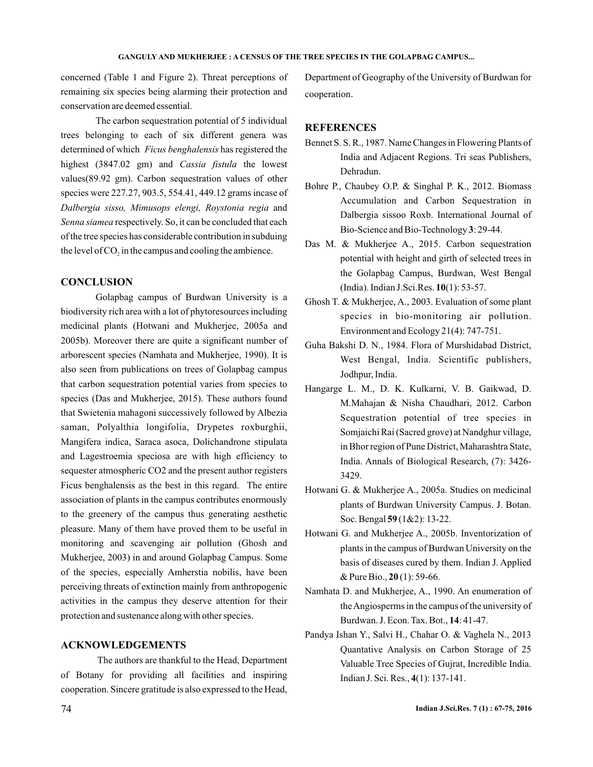concerned (Table 1 and Figure 2). Threat perceptions of remaining six species being alarming their protection and conservation are deemed essential.

The carbon sequestration potential of 5 individual trees belonging to each of six different genera was determined of which Ficus benghalensis has registered the highest (3847.02 gm) and Cassia fistula the lowest values(89.92 gm). Carbon sequestration values of other species were 227.27, 903.5, 554.41, 449.12 grams incase of Dalbergia sisso, Mimusops elengi, Roystonia regia and Senna siamea respectively. So, it can be concluded that each of the tree species has considerable contribution in subduing the level of  $CO<sub>2</sub>$  in the campus and cooling the ambience.

## **CONCLUSION**

Golapbag campus of Burdwan University is a biodiversity rich area with a lot of phytoresources including medicinal plants (Hotwani and Mukherjee, 2005a and 2005b). Moreover there are quite a significant number of arborescent species (Namhata and Mukherjee, 1990). It is also seen from publications on trees of Golapbag campus that carbon sequestration potential varies from species to species (Das and Mukherjee, 2015). These authors found that Swietenia mahagoni successively followed by Albezia saman, Polyalthia longifolia, Drypetes roxburghii, Mangifera indica, Saraca asoca, Dolichandrone stipulata and Lagestroemia speciosa are with high efficiency to sequester atmospheric CO2 and the present author registers Ficus benghalensis as the best in this regard. The entire association of plants in the campus contributes enormously to the greenery of the campus thus generating aesthetic pleasure. Many of them have proved them to be useful in monitoring and scavenging air pollution (Ghosh and Mukherjee, 2003) in and around Golapbag Campus. Some of the species, especially Amherstia nobilis, have been perceiving threats of extinction mainly from anthropogenic activities in the campus they deserve attention for their protection and sustenance along with other species.

## **ACKNOWLEDGEMENTS**

The authors are thankful to the Head, Department of Botany for providing all facilities and inspiring cooperation. Sincere gratitude is also expressed to the Head,

Department of Geography of the University of Burdwan for cooperation .

## **REFERENCES**

- Bennet S. S. R., 1987. Name Changes in Flowering Plants of India and Adjacent Regions. Tri seas Publishers, Dehradun.
- Bohre P., Chaubey O.P. & Singhal P. K., 2012. Biomass Accumulation and Carbon Sequestration in Dalbergia sissoo Roxb. International Journal of Bio-Science and Bio-Technology 3: 29-44.
- Das M. & Mukherjee A., 2015. Carbon sequestration potential with height and girth of selected trees in the Golapbag Campus, Burdwan, West Bengal (India). Indian J.Sci.Res. **10**(1): 53-57.
- Ghosh T. & Mukherjee, A., 2003. Evaluation of some plant species in bio-monitoring air pollution. Environment and Ecology 21(4): 747-751.
- Guha Bakshi D. N., 1984. Flora of Murshidabad District, West Bengal, India. Scientific publishers, Jodhpur, India.
- Hangarge L. M., D. K. Kulkarni, V. B. Gaikwad, D. M.Mahajan & Nisha Chaudhari, 2012. Carbon Sequestration potential of tree species in Somjaichi Rai (Sacred grove) at Nandghur village, in Bhor region of Pune District, Maharashtra State, India. Annals of Biological Research, (7): 3426- 3429.
- Hotwani G. & Mukherjee A., 2005a. Studies on medicinal plants of Burdwan University Campus. J. Botan. Soc. Bengal **59** (1&2): 13-22.
- Hotwani G. and Mukherjee A., 2005b. Inventorization of plants in the campus of Burdwan University on the basis of diseases cured by them. Indian J. Applied & Pure Bio., **20** (1): 59-66.
- Namhata D. and Mukherjee, A., 1990. An enumeration of theAngiosperms in the campus of the university of Burdwan. J. Econ. Tax. Bot., **14**: 41-47.
- Pandya Ishan Y., Salvi H., Chahar O. & Vaghela N., 2013 Quantative Analysis on Carbon Storage of 25 Valuable Tree Species of Gujrat, Incredible India. Indian J. Sci. Res., **4**(1): 137-141.